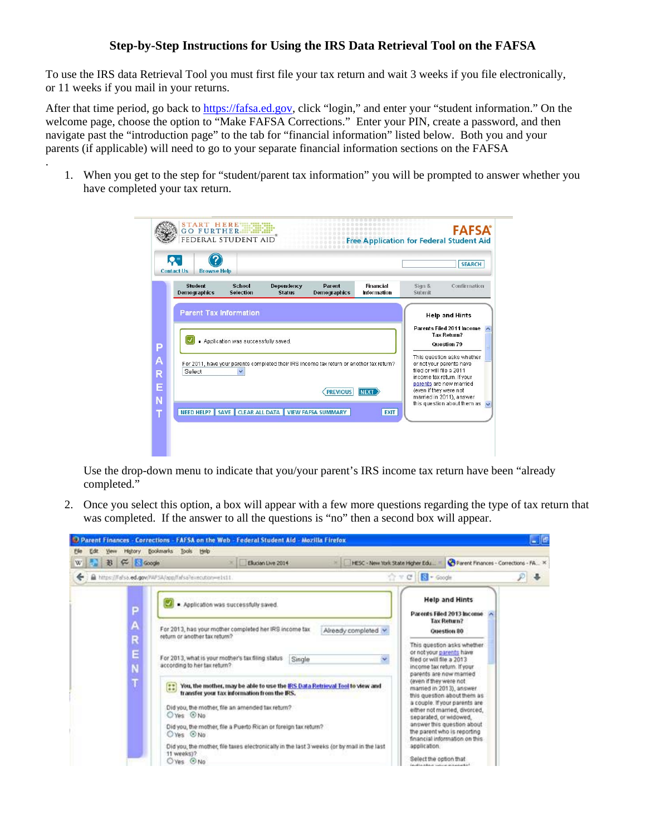## **Step-by-Step Instructions for Using the IRS Data Retrieval Tool on the FAFSA**

To use the IRS data Retrieval Tool you must first file your tax return and wait 3 weeks if you file electronically, or 11 weeks if you mail in your returns.

After that time period, go back to https://fafsa.ed.gov, click "login," and enter your "student information." On the welcome page, choose the option to "Make FAFSA Corrections." Enter your PIN, create a password, and then navigate past the "introduction page" to the tab for "financial information" listed below. Both you and your parents (if applicable) will need to go to your separate financial information sections on the FAFSA

.

1. When you get to the step for "student/parent tax information" you will be prompted to answer whether you have completed your tax return.

|                                                                                           |                           |                          |                                                                                          |                             |                                   | $\mathbf{Q}$<br><b>Contact Us</b><br><b>Browse Help</b> |
|-------------------------------------------------------------------------------------------|---------------------------|--------------------------|------------------------------------------------------------------------------------------|-----------------------------|-----------------------------------|---------------------------------------------------------|
| Confirmation                                                                              | Sign &<br>Submit          | Financial<br>Information | Parent<br><b>Demographics</b>                                                            | Dependency<br><b>Status</b> | <b>School</b><br><b>Selection</b> | <b>Student</b><br><b>Demographics</b>                   |
| <b>Help and Hints</b>                                                                     |                           |                          |                                                                                          |                             |                                   | <b>Parent Tax Information</b>                           |
| <b>Question 79</b><br>This question asks whether<br>or not your parents have              | filed or will file a 2011 |                          | For 2011, have your parents completed their IRS income tax return or another tax return? |                             | $\checkmark$                      | Select                                                  |
| income tax return. If your                                                                |                           |                          |                                                                                          |                             |                                   |                                                         |
| parents are now married<br>married in 2011), answer<br>this question about them as $\sim$ | (even if they were not    | <b>NEXT</b>              | <b>PREVIOUS</b>                                                                          |                             |                                   |                                                         |

Use the drop-down menu to indicate that you/your parent's IRS income tax return have been "already completed."

2. Once you select this option, a box will appear with a few more questions regarding the type of tax return that was completed. If the answer to all the questions is "no" then a second box will appear.

| W<br>÷ | <b>お 仔 回Google</b> |                                                                                                                                             | Elucian Live 2014                                                             |        |  |                                                                                             |                                                                   | HESC - New York State Higher Edu<br>☆ v C   图 + Google                                                         | Parent Finances - Corrections - FA. X |   |
|--------|--------------------|---------------------------------------------------------------------------------------------------------------------------------------------|-------------------------------------------------------------------------------|--------|--|---------------------------------------------------------------------------------------------|-------------------------------------------------------------------|----------------------------------------------------------------------------------------------------------------|---------------------------------------|---|
|        |                    | https://fafsb.ed.gov/WFSA/app/fafsa?execution=e1s11.                                                                                        |                                                                               |        |  |                                                                                             |                                                                   |                                                                                                                |                                       | ₽ |
|        | P                  | . Application was successfully saved.                                                                                                       |                                                                               |        |  |                                                                                             | <b>Help and Hints</b><br>Parents Filed 2013 Income<br>Tax Return? |                                                                                                                |                                       |   |
|        | Α<br>R             | return or another tax return?                                                                                                               | For 2013, has your mother completed her IRS income tax<br>Already completed v |        |  | <b>Question 80</b><br>This question asks whether                                            |                                                                   |                                                                                                                |                                       |   |
|        | E<br>N             | For 2013, what is your mother's tax filing status<br>according to her tax return?                                                           |                                                                               | Single |  |                                                                                             | ÷                                                                 | or not your parents have<br>filed or will file a 2013<br>income tax return. If your<br>parents are now married |                                       |   |
|        | T                  | You, the mother, may be able to use the IRS Data Retrieval Tool to view and<br>$-1$<br>$-20$<br>transfer your tax information from the IRS. |                                                                               |        |  | (even if they were not<br>married in 2013), answer.                                         | this question about them as<br>a couple. If your parents are      |                                                                                                                |                                       |   |
|        |                    | Did you, the mother, file an amended tax rebum?<br>O Yes O No                                                                               |                                                                               |        |  |                                                                                             |                                                                   | separated, or widowed.                                                                                         | either not married, divorced,         |   |
|        |                    | Did you, the mother, file a Puerto Rican or foreign tax return?<br>O'Yes OND                                                                |                                                                               |        |  | answer this question about<br>the parent who is reporting<br>financial information on this. |                                                                   |                                                                                                                |                                       |   |
|        |                    | Did you, the mother, file taxes electronically in the last 3 weeks (or by mail in the last<br>11 weeks)?<br>$O$ Yes $O$ No                  |                                                                               |        |  |                                                                                             |                                                                   | application.<br>Select the option that<br>for other whose presences to be considered                           |                                       |   |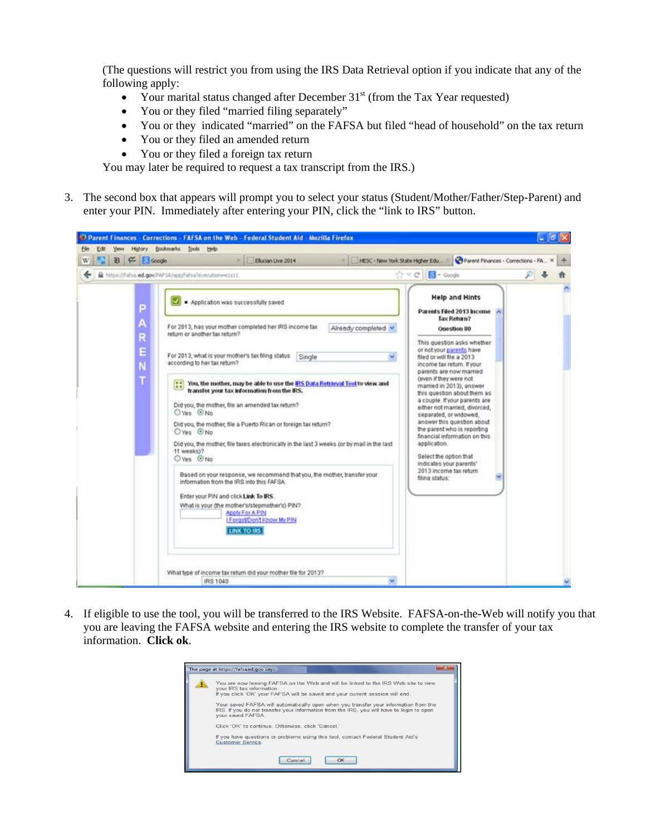(The questions will restrict you from using the IRS Data Retrieval option if you indicate that any of the following apply:

- Your marital status changed after December  $31<sup>st</sup>$  (from the Tax Year requested)
- You or they filed "married filing separately"
- You or they indicated "married" on the FAFSA but filed "head of household" on the tax return
- You or they filed an amended return
- You or they filed a foreign tax return

You may later be required to request a tax transcript from the IRS.)

3. The second box that appears will prompt you to select your status (Student/Mother/Father/Step-Parent) and enter your PIN. Immediately after entering your PIN, click the "link to IRS" button.



4. If eligible to use the tool, you will be transferred to the IRS Website. FAFSA-on-the-Web will notify you that you are leaving the FAFSA website and entering the IRS website to complete the transfer of your tax information. **Click ok**.

| The page at https://fafsaed.gov says:                                                                                                                                                                                                                                                     |
|-------------------------------------------------------------------------------------------------------------------------------------------------------------------------------------------------------------------------------------------------------------------------------------------|
| You are now leaving FAFSA on the Web and will be linked to the IRS Web site to view<br>vour IRS tax information.<br>If you click 'OK' your FAFSA will be saved and your current session will end.<br>Your saved FAFSA will automatically open when you transfer your information from the |
| IRS. If you do not transfer your information from the IRS, you will have to login to open<br>vour saved FAFSA.<br>Click 'OK' to continue. Otherwise, click 'Cancel.'                                                                                                                      |
| If you have questions or problems using this tool, contact Federal Student Aid's<br>Customer Service.                                                                                                                                                                                     |
| OK<br>Cance                                                                                                                                                                                                                                                                               |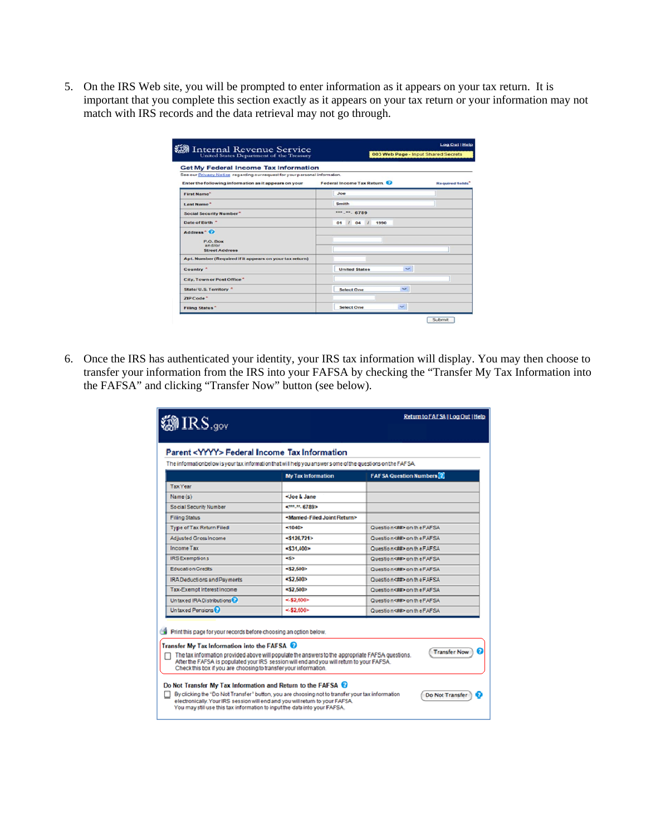5. On the IRS Web site, you will be prompted to enter information as it appears on your tax return. It is important that you complete this section exactly as it appears on your tax return or your information may not match with IRS records and the data retrieval may not go through.

| Internal Revenue Service<br>United States Department of the Treasury                                                       | Log Out   Help<br>003 Web Page - Input Shared Secrets |                  |  |  |  |
|----------------------------------------------------------------------------------------------------------------------------|-------------------------------------------------------|------------------|--|--|--|
| <b>Get My Federal Income Tax Information</b><br>See our Privacy Notice regarding ourrequest for your personal information. |                                                       |                  |  |  |  |
| Enter the following information as it appears on your                                                                      | Federal Income Tax Return.                            | Required fields" |  |  |  |
| <b>First Name*</b>                                                                                                         |                                                       |                  |  |  |  |
| Last Name <sup>*</sup>                                                                                                     | Smith                                                 |                  |  |  |  |
| Social Security Number*                                                                                                    | ***. **. 6789                                         |                  |  |  |  |
| Date of Birth."                                                                                                            | 0.4<br>1990<br>01<br>$\prime$                         |                  |  |  |  |
| Address <sup>*</sup> <sup><i>O</i></sup><br>P. Q. Box<br>and/or<br><b>Street Address</b>                                   |                                                       |                  |  |  |  |
| Apt. Number (Required if it appears on your tax return)                                                                    |                                                       |                  |  |  |  |
| Country <sup>*</sup>                                                                                                       | $\checkmark$<br><b>United States</b>                  |                  |  |  |  |
| City, Town or Post Office*                                                                                                 |                                                       |                  |  |  |  |
| State/U.S. Territory                                                                                                       | $\sim$<br><b>Select One</b>                           |                  |  |  |  |
| ZIPCode <sup>*</sup>                                                                                                       |                                                       |                  |  |  |  |
| <b>Filing Status*</b>                                                                                                      | $\checkmark$<br><b>Select One</b>                     |                  |  |  |  |

6. Once the IRS has authenticated your identity, your IRS tax information will display. You may then choose to transfer your information from the IRS into your FAFSA by checking the "Transfer My Tax Information into the FAFSA" and clicking "Transfer Now" button (see below).

| <b>@IRS.gov</b>                                                                                                                                                                                                                                                                                                              |                                                                                                                                                                                               | Return to FAF SAIL og Out   Help                                                                                                                                                           |
|------------------------------------------------------------------------------------------------------------------------------------------------------------------------------------------------------------------------------------------------------------------------------------------------------------------------------|-----------------------------------------------------------------------------------------------------------------------------------------------------------------------------------------------|--------------------------------------------------------------------------------------------------------------------------------------------------------------------------------------------|
| Parent <yyyy> Federal Income Tax Information</yyyy>                                                                                                                                                                                                                                                                          |                                                                                                                                                                                               |                                                                                                                                                                                            |
| The information below is your tax information that will help you answer's ome of the questions on the FAFSA.                                                                                                                                                                                                                 |                                                                                                                                                                                               |                                                                                                                                                                                            |
|                                                                                                                                                                                                                                                                                                                              | <b>My Tax Information</b>                                                                                                                                                                     | <b>FAFSA Question Numbers</b> ?                                                                                                                                                            |
| <b>Tax Year</b>                                                                                                                                                                                                                                                                                                              |                                                                                                                                                                                               |                                                                                                                                                                                            |
| Name(s)                                                                                                                                                                                                                                                                                                                      | <joe &="" jane<="" td=""><td></td></joe>                                                                                                                                                      |                                                                                                                                                                                            |
| Social Security Number                                                                                                                                                                                                                                                                                                       | action, 10, 157,893                                                                                                                                                                           |                                                                                                                                                                                            |
| <b>Filing Status</b>                                                                                                                                                                                                                                                                                                         | <married-filed joint="" return=""></married-filed>                                                                                                                                            |                                                                                                                                                                                            |
| Type of Tax Return Filed                                                                                                                                                                                                                                                                                                     | < 1040                                                                                                                                                                                        | Question<br>compared to FAFSA                                                                                                                                                              |
| Adjusted Gross Income                                                                                                                                                                                                                                                                                                        | <3128.721>                                                                                                                                                                                    | Question<br>on the FAFSA                                                                                                                                                                   |
| <b>Income Tax</b>                                                                                                                                                                                                                                                                                                            | $-331,400$                                                                                                                                                                                    | Quastion citib on the FAFSA                                                                                                                                                                |
| <b>IRS</b> Exemptions                                                                                                                                                                                                                                                                                                        | $5 - 5$                                                                                                                                                                                       | Question<##>on the FAFSA                                                                                                                                                                   |
| <b>Education Credits</b>                                                                                                                                                                                                                                                                                                     | 52,500                                                                                                                                                                                        | Question<br>contraction<br>contraction<br>contraction<br>contraction<br>contraction<br>contraction<br>contraction<br>contraction<br>contraction<br>contraction<br>contraction<br>contracti |
| IRA Deductions and Payments                                                                                                                                                                                                                                                                                                  | $<$ 52.500 $<$                                                                                                                                                                                | Question<##> on the FAFSA                                                                                                                                                                  |
| Tax-Exempt Interest Income                                                                                                                                                                                                                                                                                                   | \$2.500                                                                                                                                                                                       | Question CBD on the FAFSA                                                                                                                                                                  |
| Un tax ed IRA Distributions <sup>2</sup>                                                                                                                                                                                                                                                                                     | < \$2,600                                                                                                                                                                                     | Question<##> on the FAFSA                                                                                                                                                                  |
| Unitaxed Pensions <sup>2</sup>                                                                                                                                                                                                                                                                                               | -482.600>                                                                                                                                                                                     | Question<##> on the FAFSA                                                                                                                                                                  |
| Print this page for your records before choosing an option below.<br>Transfer My Tax Information into the FAFSA<br>Check this box if you are choosing to transfer your information.                                                                                                                                          | The tax information provided above will populate the answers to the appropriate FAFSA questions.<br>After the FAFSA is populated your IRS session will end and you will return to your FAFSA. | Ω<br><b>Transfer Now</b>                                                                                                                                                                   |
| Do Not Transfer My Tax Information and Return to the FAFSA @<br>By clicking the "Do Not Transfer" button, you are choosing not to transfer your tax information<br>electronically. Your IRS session will end and you will return to your FAFSA.<br>You may still use this tax information to input the data into your FAFSA. |                                                                                                                                                                                               | <b>Do Not Transfer</b>                                                                                                                                                                     |